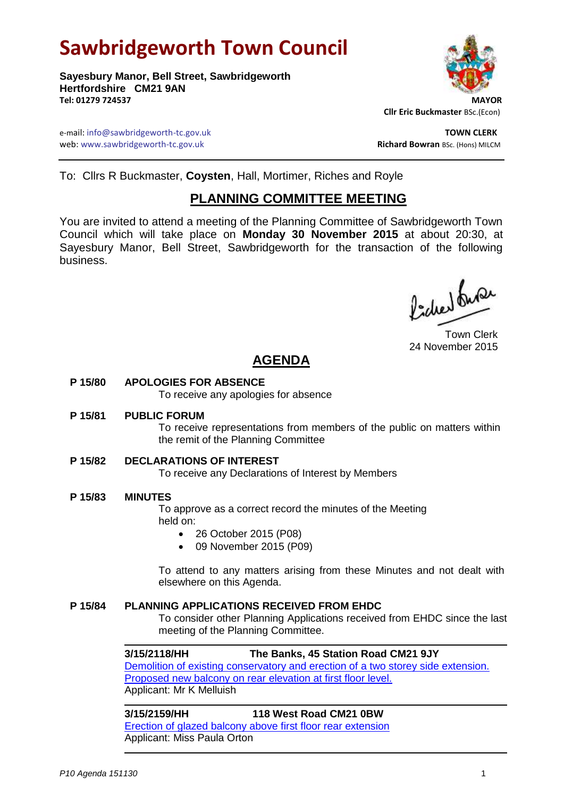# **Sawbridgeworth Town Council**

**Sayesbury Manor, Bell Street, Sawbridgeworth Hertfordshire CM21 9AN Tel: 01279 724537 MAYOR**



 **Cllr Eric Buckmaster** BSc.(Econ)

e-mail: info@sawbridgeworth-tc.gov.uk **TOWN CLERK** web: www.sawbridgeworth-tc.gov.uk and the state of the state of the state of the state of the state of the state of the state of the state of the state of the state of the state of the state of the state of the state of th

To: Cllrs R Buckmaster, **Coysten**, Hall, Mortimer, Riches and Royle

## **PLANNING COMMITTEE MEETING**

You are invited to attend a meeting of the Planning Committee of Sawbridgeworth Town Council which will take place on **Monday 30 November 2015** at about 20:30, at Sayesbury Manor, Bell Street, Sawbridgeworth for the transaction of the following business.

Picked fune

Town Clerk 24 November 2015

## **AGENDA**

**P 15/80 APOLOGIES FOR ABSENCE**

To receive any apologies for absence

**P 15/81 PUBLIC FORUM**

To receive representations from members of the public on matters within the remit of the Planning Committee

**P 15/82 DECLARATIONS OF INTEREST**

To receive any Declarations of Interest by Members

**P 15/83 MINUTES**

To approve as a correct record the minutes of the Meeting held on:

- 26 October 2015 (P08)
- 09 November 2015 (P09)

To attend to any matters arising from these Minutes and not dealt with elsewhere on this Agenda.

### **P 15/84 PLANNING APPLICATIONS RECEIVED FROM EHDC**

To consider other Planning Applications received from EHDC since the last meeting of the Planning Committee.

## **3/15/2118/HH The Banks, 45 Station Road CM21 9JY** [Demolition of existing conservatory and erection of a two storey side extension.](https://publicaccess.eastherts.gov.uk/online-applications/applicationDetails.do?activeTab=summary&keyVal=NWIPT0GL00X00)  [Proposed new balcony on rear elevation at first floor level.](https://publicaccess.eastherts.gov.uk/online-applications/applicationDetails.do?activeTab=summary&keyVal=NWIPT0GL00X00)

Applicant: Mr K Melluish

#### **3/15/2159/HH 118 West Road CM21 0BW**

[Erection of glazed balcony above first floor rear extension](https://publicaccess.eastherts.gov.uk/online-applications/applicationDetails.do?activeTab=summary&keyVal=NWRNKZGLHEJ00) Applicant: Miss Paula Orton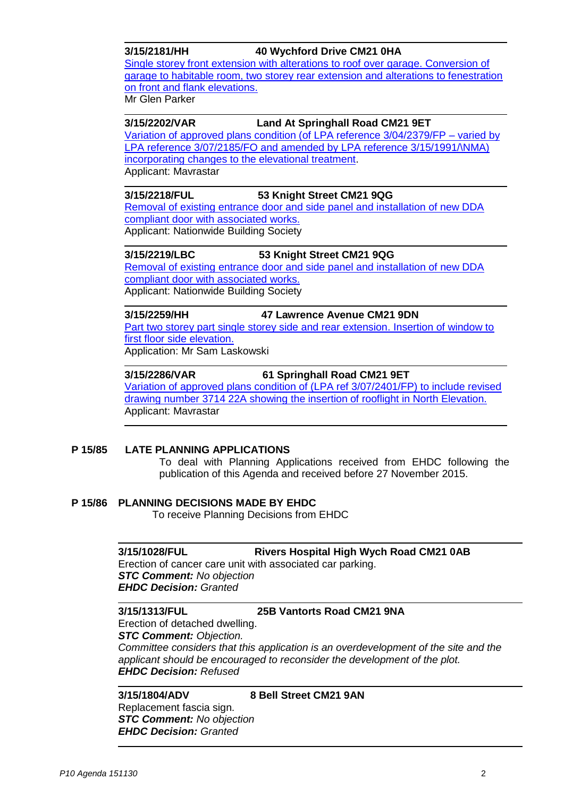**3/15/2181/HH 40 Wychford Drive CM21 0HA** [Single storey front extension with alterations to roof over](https://publicaccess.eastherts.gov.uk/online-applications/applicationDetails.do?activeTab=summary&keyVal=NWVO1LGLHF800) garage. Conversion of [garage to habitable room, two storey rear extension and alterations to fenestration](https://publicaccess.eastherts.gov.uk/online-applications/applicationDetails.do?activeTab=summary&keyVal=NWVO1LGLHF800)  [on front and flank elevations.](https://publicaccess.eastherts.gov.uk/online-applications/applicationDetails.do?activeTab=summary&keyVal=NWVO1LGLHF800) Mr Glen Parker

#### **3/15/2202/VAR Land At Springhall Road CM21 9ET**

[Variation of approved plans condition \(of LPA reference 3/04/2379/FP –](https://publicaccess.eastherts.gov.uk/online-applications/applicationDetails.do?activeTab=summary&keyVal=NX1J8CGLHGG00) varied by [LPA reference 3/07/2185/FO and amended by LPA reference 3/15/1991/\NMA\)](https://publicaccess.eastherts.gov.uk/online-applications/applicationDetails.do?activeTab=summary&keyVal=NX1J8CGLHGG00)  [incorporating changes to the elevational treatment.](https://publicaccess.eastherts.gov.uk/online-applications/applicationDetails.do?activeTab=summary&keyVal=NX1J8CGLHGG00) Applicant: Mavrastar

### **3/15/2218/FUL 53 Knight Street CM21 9QG**

[Removal of existing entrance door and side panel and installation of new DDA](https://publicaccess.eastherts.gov.uk/online-applications/applicationDetails.do?activeTab=summary&keyVal=NX739LGLHHE00)  [compliant door with associated works.](https://publicaccess.eastherts.gov.uk/online-applications/applicationDetails.do?activeTab=summary&keyVal=NX739LGLHHE00) Applicant: Nationwide Building Society

### **3/15/2219/LBC 53 Knight Street CM21 9QG**

[Removal of existing entrance door and side panel and installation of new DDA](https://publicaccess.eastherts.gov.uk/online-applications/applicationDetails.do?activeTab=summary&keyVal=NX739OGLHHF00)  [compliant door with associated works.](https://publicaccess.eastherts.gov.uk/online-applications/applicationDetails.do?activeTab=summary&keyVal=NX739OGLHHF00) Applicant: Nationwide Building Society

#### **3/15/2259/HH 47 Lawrence Avenue CM21 9DN**

[Part two storey part single storey side and rear extension. Insertion of window to](https://publicaccess.eastherts.gov.uk/online-applications/applicationDetails.do?activeTab=summary&keyVal=NXLABSGLHL300)  [first floor side elevation.](https://publicaccess.eastherts.gov.uk/online-applications/applicationDetails.do?activeTab=summary&keyVal=NXLABSGLHL300)

Application: Mr Sam Laskowski

### **3/15/2286/VAR 61 Springhall Road CM21 9ET**

[Variation of approved plans condition of \(LPA ref 3/07/2401/FP\) to include revised](https://publicaccess.eastherts.gov.uk/online-applications/applicationDetails.do?activeTab=summary&keyVal=NXSOW9GLHMN00)  [drawing number 3714 22A showing the insertion of rooflight in North Elevation.](https://publicaccess.eastherts.gov.uk/online-applications/applicationDetails.do?activeTab=summary&keyVal=NXSOW9GLHMN00) Applicant: Mavrastar

### **P 15/85 LATE PLANNING APPLICATIONS**

To deal with Planning Applications received from EHDC following the publication of this Agenda and received before 27 November 2015.

### **P 15/86 PLANNING DECISIONS MADE BY EHDC**

To receive Planning Decisions from EHDC

### **3/15/1028/FUL Rivers Hospital High Wych Road CM21 0AB**

Erection of cancer care unit with associated car parking. *STC Comment: No objection EHDC Decision: Granted*

#### **3/15/1313/FUL 25B Vantorts Road CM21 9NA**

Erection of detached dwelling.

*STC Comment: Objection.* 

*Committee considers that this application is an overdevelopment of the site and the applicant should be encouraged to reconsider the development of the plot. EHDC Decision: Refused*

## **3/15/1804/ADV 8 Bell Street CM21 9AN**

Replacement fascia sign. *STC Comment: No objection EHDC Decision: Granted*